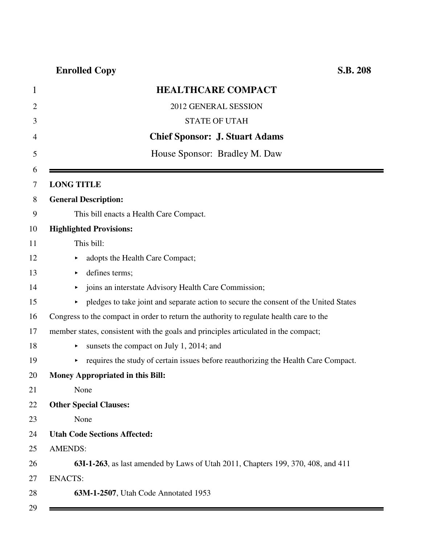| $\mathbf{1}$ | <b>HEALTHCARE COMPACT</b>                                                               |
|--------------|-----------------------------------------------------------------------------------------|
| 2            | 2012 GENERAL SESSION                                                                    |
| 3            | <b>STATE OF UTAH</b>                                                                    |
| 4            | <b>Chief Sponsor: J. Stuart Adams</b>                                                   |
| 5            | House Sponsor: Bradley M. Daw                                                           |
| 6<br>7       | <b>LONG TITLE</b>                                                                       |
| 8            | <b>General Description:</b>                                                             |
| 9            | This bill enacts a Health Care Compact.                                                 |
| 10           | <b>Highlighted Provisions:</b>                                                          |
| 11           | This bill:                                                                              |
| 12           | adopts the Health Care Compact;<br>▶                                                    |
| 13           | defines terms;                                                                          |
| 14           | joins an interstate Advisory Health Care Commission;                                    |
| 15           | pledges to take joint and separate action to secure the consent of the United States    |
| 16           | Congress to the compact in order to return the authority to regulate health care to the |
| 17           | member states, consistent with the goals and principles articulated in the compact;     |
| 18           | sunsets the compact on July 1, 2014; and                                                |
| 19           | requires the study of certain issues before reauthorizing the Health Care Compact.      |
| 20           | Money Appropriated in this Bill:                                                        |
| 21           | None                                                                                    |
| 22           | <b>Other Special Clauses:</b>                                                           |
| 23           | None                                                                                    |
| 24           | <b>Utah Code Sections Affected:</b>                                                     |
| 25           | <b>AMENDS:</b>                                                                          |
| 26           | 63I-1-263, as last amended by Laws of Utah 2011, Chapters 199, 370, 408, and 411        |
| 27           | <b>ENACTS:</b>                                                                          |
| 28           | 63M-1-2507, Utah Code Annotated 1953                                                    |
| 29           |                                                                                         |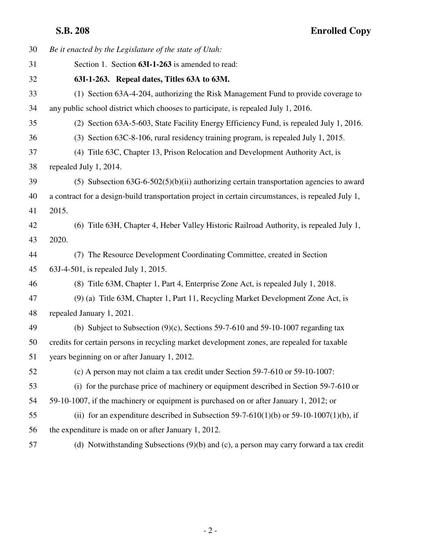| 30 | Be it enacted by the Legislature of the state of Utah:                                             |
|----|----------------------------------------------------------------------------------------------------|
| 31 | Section 1. Section 63I-1-263 is amended to read:                                                   |
| 32 | 63I-1-263. Repeal dates, Titles 63A to 63M.                                                        |
| 33 | (1) Section 63A-4-204, authorizing the Risk Management Fund to provide coverage to                 |
| 34 | any public school district which chooses to participate, is repealed July 1, 2016.                 |
| 35 | (2) Section 63A-5-603, State Facility Energy Efficiency Fund, is repealed July 1, 2016.            |
| 36 | (3) Section 63C-8-106, rural residency training program, is repealed July 1, 2015.                 |
| 37 | (4) Title 63C, Chapter 13, Prison Relocation and Development Authority Act, is                     |
| 38 | repealed July 1, 2014.                                                                             |
| 39 | (5) Subsection $63G-6-502(5)(b)(ii)$ authorizing certain transportation agencies to award          |
| 40 | a contract for a design-build transportation project in certain circumstances, is repealed July 1, |
| 41 | 2015.                                                                                              |
| 42 | (6) Title 63H, Chapter 4, Heber Valley Historic Railroad Authority, is repealed July 1,            |
| 43 | 2020.                                                                                              |
| 44 | (7) The Resource Development Coordinating Committee, created in Section                            |
| 45 | 63J-4-501, is repealed July 1, 2015.                                                               |
| 46 | (8) Title 63M, Chapter 1, Part 4, Enterprise Zone Act, is repealed July 1, 2018.                   |
| 47 | (9) (a) Title 63M, Chapter 1, Part 11, Recycling Market Development Zone Act, is                   |
| 48 | repealed January 1, 2021.                                                                          |
| 49 | (b) Subject to Subsection $(9)(c)$ , Sections 59-7-610 and 59-10-1007 regarding tax                |
| 50 | credits for certain persons in recycling market development zones, are repealed for taxable        |
| 51 | years beginning on or after January 1, 2012.                                                       |
| 52 | (c) A person may not claim a tax credit under Section 59-7-610 or 59-10-1007:                      |
| 53 | (i) for the purchase price of machinery or equipment described in Section 59-7-610 or              |
| 54 | 59-10-1007, if the machinery or equipment is purchased on or after January 1, 2012; or             |
| 55 | (ii) for an expenditure described in Subsection 59-7-610(1)(b) or 59-10-1007(1)(b), if             |
| 56 | the expenditure is made on or after January 1, 2012.                                               |
| 57 | (d) Notwithstanding Subsections $(9)(b)$ and (c), a person may carry forward a tax credit          |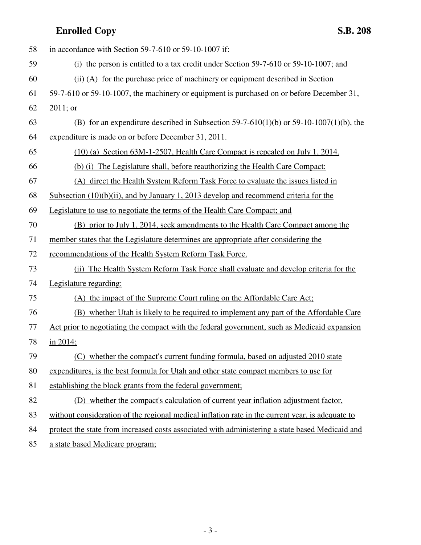| 58 | in accordance with Section 59-7-610 or 59-10-1007 if:                                            |
|----|--------------------------------------------------------------------------------------------------|
| 59 | (i) the person is entitled to a tax credit under Section $59-7-610$ or $59-10-1007$ ; and        |
| 60 | (ii) (A) for the purchase price of machinery or equipment described in Section                   |
| 61 | 59-7-610 or 59-10-1007, the machinery or equipment is purchased on or before December 31,        |
| 62 | $2011$ ; or                                                                                      |
| 63 | (B) for an expenditure described in Subsection 59-7-610(1)(b) or 59-10-1007(1)(b), the           |
| 64 | expenditure is made on or before December 31, 2011.                                              |
| 65 | (10) (a) Section 63M-1-2507, Health Care Compact is repealed on July 1, 2014.                    |
| 66 | (b) (i) The Legislature shall, before reauthorizing the Health Care Compact:                     |
| 67 | (A) direct the Health System Reform Task Force to evaluate the issues listed in                  |
| 68 | Subsection $(10)(b)(ii)$ , and by January 1, 2013 develop and recommend criteria for the         |
| 69 | Legislature to use to negotiate the terms of the Health Care Compact; and                        |
| 70 | (B) prior to July 1, 2014, seek amendments to the Health Care Compact among the                  |
| 71 | member states that the Legislature determines are appropriate after considering the              |
| 72 | recommendations of the Health System Reform Task Force.                                          |
| 73 | (ii) The Health System Reform Task Force shall evaluate and develop criteria for the             |
| 74 | Legislature regarding:                                                                           |
| 75 | (A) the impact of the Supreme Court ruling on the Affordable Care Act;                           |
| 76 | (B) whether Utah is likely to be required to implement any part of the Affordable Care           |
| 77 | Act prior to negotiating the compact with the federal government, such as Medicaid expansion     |
| 78 | in 2014;                                                                                         |
| 79 | (C) whether the compact's current funding formula, based on adjusted 2010 state                  |
| 80 | expenditures, is the best formula for Utah and other state compact members to use for            |
| 81 | establishing the block grants from the federal government;                                       |
| 82 | (D) whether the compact's calculation of current year inflation adjustment factor,               |
| 83 | without consideration of the regional medical inflation rate in the current year, is adequate to |
| 84 | protect the state from increased costs associated with administering a state based Medicaid and  |
|    |                                                                                                  |

85 a state based Medicare program;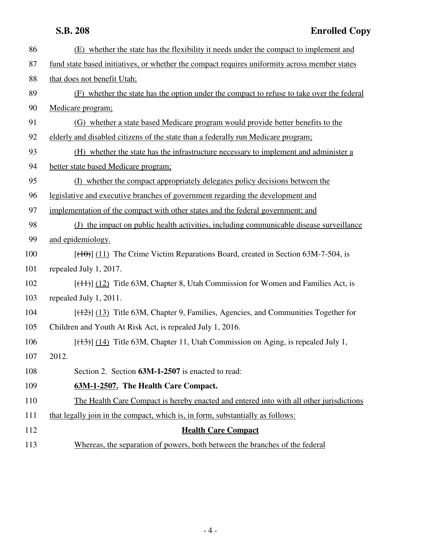| 86  | (E) whether the state has the flexibility it needs under the compact to implement and                  |
|-----|--------------------------------------------------------------------------------------------------------|
| 87  | fund state based initiatives, or whether the compact requires uniformity across member states          |
| 88  | that does not benefit Utah;                                                                            |
| 89  | (F) whether the state has the option under the compact to refuse to take over the federal              |
| 90  | Medicare program;                                                                                      |
| 91  | (G) whether a state based Medicare program would provide better benefits to the                        |
| 92  | elderly and disabled citizens of the state than a federally run Medicare program;                      |
| 93  | (H) whether the state has the infrastructure necessary to implement and administer a                   |
| 94  | better state based Medicare program;                                                                   |
| 95  | (I) whether the compact appropriately delegates policy decisions between the                           |
| 96  | legislative and executive branches of government regarding the development and                         |
| 97  | implementation of the compact with other states and the federal government; and                        |
| 98  | (J) the impact on public health activities, including communicable disease surveillance                |
| 99  | and epidemiology.                                                                                      |
| 100 | $[$ (40)] (11) The Crime Victim Reparations Board, created in Section 63M-7-504, is                    |
| 101 | repealed July 1, 2017.                                                                                 |
| 102 | $[$ ( $\{11\}$ ) $]$ ( $\{12\}$ ) Title 63M, Chapter 8, Utah Commission for Women and Families Act, is |
| 103 | repealed July 1, 2011.                                                                                 |
| 104 | $[ (12) ]$ (13) Title 63M, Chapter 9, Families, Agencies, and Communities Together for                 |
| 105 | Children and Youth At Risk Act, is repealed July 1, 2016.                                              |
| 106 | $[ (13) ] (14)$ Title 63M, Chapter 11, Utah Commission on Aging, is repealed July 1,                   |
| 107 | 2012.                                                                                                  |
| 108 | Section 2. Section 63M-1-2507 is enacted to read:                                                      |
| 109 | 63M-1-2507. The Health Care Compact.                                                                   |
| 110 | The Health Care Compact is hereby enacted and entered into with all other jurisdictions                |
| 111 | that legally join in the compact, which is, in form, substantially as follows:                         |
| 112 | <b>Health Care Compact</b>                                                                             |
| 113 | Whereas, the separation of powers, both between the branches of the federal                            |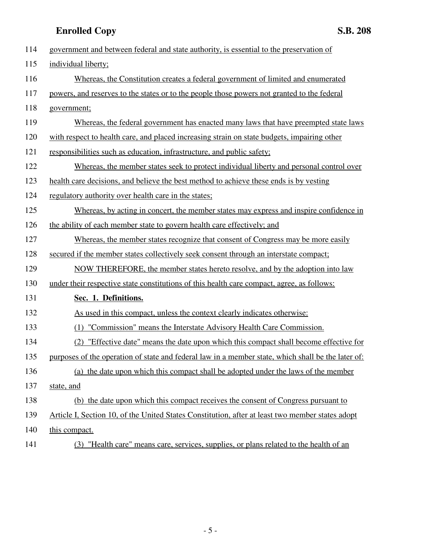| 114 | government and between federal and state authority, is essential to the preservation of            |
|-----|----------------------------------------------------------------------------------------------------|
| 115 | individual liberty;                                                                                |
| 116 | Whereas, the Constitution creates a federal government of limited and enumerated                   |
| 117 | powers, and reserves to the states or to the people those powers not granted to the federal        |
| 118 | government;                                                                                        |
| 119 | Whereas, the federal government has enacted many laws that have preempted state laws               |
| 120 | with respect to health care, and placed increasing strain on state budgets, impairing other        |
| 121 | responsibilities such as education, infrastructure, and public safety;                             |
| 122 | Whereas, the member states seek to protect individual liberty and personal control over            |
| 123 | health care decisions, and believe the best method to achieve these ends is by vesting             |
| 124 | regulatory authority over health care in the states;                                               |
| 125 | Whereas, by acting in concert, the member states may express and inspire confidence in             |
| 126 | the ability of each member state to govern health care effectively; and                            |
| 127 | <u>Whereas, the member states recognize that consent of Congress may be more easily</u>            |
| 128 | secured if the member states collectively seek consent through an interstate compact;              |
| 129 | NOW THEREFORE, the member states hereto resolve, and by the adoption into law                      |
| 130 | under their respective state constitutions of this health care compact, agree, as follows:         |
| 131 | Sec. 1. Definitions.                                                                               |
| 132 | As used in this compact, unless the context clearly indicates otherwise:                           |
| 133 | (1) "Commission" means the Interstate Advisory Health Care Commission.                             |
| 134 | "Effective date" means the date upon which this compact shall become effective for                 |
| 135 | purposes of the operation of state and federal law in a member state, which shall be the later of: |
| 136 | (a) the date upon which this compact shall be adopted under the laws of the member                 |
| 137 | state, and                                                                                         |
| 138 | (b) the date upon which this compact receives the consent of Congress pursuant to                  |
| 139 | Article I, Section 10, of the United States Constitution, after at least two member states adopt   |
| 140 | this compact.                                                                                      |
| 141 | (3) "Health care" means care, services, supplies, or plans related to the health of an             |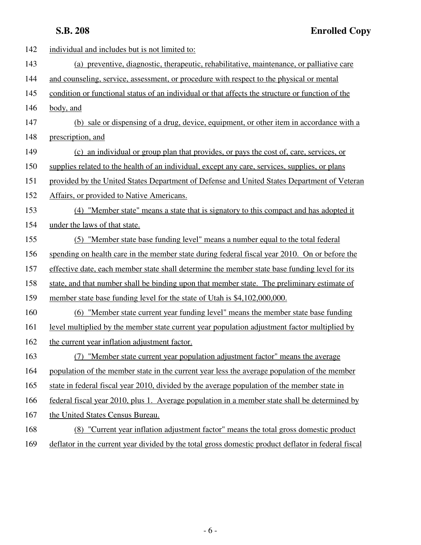| 142 | individual and includes but is not limited to:                                                   |
|-----|--------------------------------------------------------------------------------------------------|
| 143 | (a) preventive, diagnostic, therapeutic, rehabilitative, maintenance, or palliative care         |
| 144 | and counseling, service, assessment, or procedure with respect to the physical or mental         |
| 145 | condition or functional status of an individual or that affects the structure or function of the |
| 146 | body, and                                                                                        |
| 147 | (b) sale or dispensing of a drug, device, equipment, or other item in accordance with a          |
| 148 | prescription, and                                                                                |
| 149 | (c) an individual or group plan that provides, or pays the cost of, care, services, or           |
| 150 | supplies related to the health of an individual, except any care, services, supplies, or plans   |
| 151 | provided by the United States Department of Defense and United States Department of Veteran      |
| 152 | Affairs, or provided to Native Americans.                                                        |
| 153 | (4) "Member state" means a state that is signatory to this compact and has adopted it            |
| 154 | under the laws of that state.                                                                    |
| 155 | (5) "Member state base funding level" means a number equal to the total federal                  |
| 156 | spending on health care in the member state during federal fiscal year 2010. On or before the    |
| 157 | effective date, each member state shall determine the member state base funding level for its    |
| 158 | state, and that number shall be binding upon that member state. The preliminary estimate of      |
| 159 | member state base funding level for the state of Utah is \$4,102,000,000.                        |
| 160 | (6) "Member state current year funding level" means the member state base funding                |
| 161 | level multiplied by the member state current year population adjustment factor multiplied by     |
| 162 | the current year inflation adjustment factor.                                                    |
| 163 | "Member state current year population adjustment factor" means the average<br>(7)                |
| 164 | population of the member state in the current year less the average population of the member     |
| 165 | state in federal fiscal year 2010, divided by the average population of the member state in      |
| 166 | federal fiscal year 2010, plus 1. Average population in a member state shall be determined by    |
| 167 | the United States Census Bureau.                                                                 |
| 168 | (8) "Current year inflation adjustment factor" means the total gross domestic product            |
|     |                                                                                                  |

169 deflator in the current year divided by the total gross domestic product deflator in federal fiscal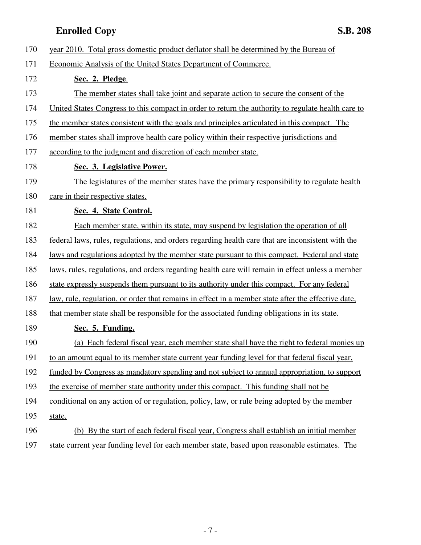| 170 | year 2010. Total gross domestic product deflator shall be determined by the Bureau of               |
|-----|-----------------------------------------------------------------------------------------------------|
| 171 | Economic Analysis of the United States Department of Commerce.                                      |
| 172 | Sec. 2. Pledge.                                                                                     |
| 173 | The member states shall take joint and separate action to secure the consent of the                 |
| 174 | United States Congress to this compact in order to return the authority to regulate health care to  |
| 175 | the member states consistent with the goals and principles articulated in this compact. The         |
| 176 | member states shall improve health care policy within their respective jurisdictions and            |
| 177 | according to the judgment and discretion of each member state.                                      |
| 178 | Sec. 3. Legislative Power.                                                                          |
| 179 | The legislatures of the member states have the primary responsibility to regulate health            |
| 180 | care in their respective states.                                                                    |
| 181 | Sec. 4. State Control.                                                                              |
| 182 | Each member state, within its state, may suspend by legislation the operation of all                |
| 183 | federal laws, rules, regulations, and orders regarding health care that are inconsistent with the   |
| 184 | <u>laws and regulations adopted by the member state pursuant to this compact. Federal and state</u> |
| 185 | laws, rules, regulations, and orders regarding health care will remain in effect unless a member    |
| 186 | state expressly suspends them pursuant to its authority under this compact. For any federal         |
| 187 | law, rule, regulation, or order that remains in effect in a member state after the effective date,  |
| 188 | that member state shall be responsible for the associated funding obligations in its state.         |
| 189 | Sec. 5. Funding.                                                                                    |
| 190 | (a) Each federal fiscal year, each member state shall have the right to federal monies up           |
| 191 | to an amount equal to its member state current year funding level for that federal fiscal year,     |
| 192 | funded by Congress as mandatory spending and not subject to annual appropriation, to support        |
| 193 | the exercise of member state authority under this compact. This funding shall not be                |
| 194 | conditional on any action of or regulation, policy, law, or rule being adopted by the member        |
| 195 | state.                                                                                              |
| 196 | (b) By the start of each federal fiscal year, Congress shall establish an initial member            |
| 197 | state current year funding level for each member state, based upon reasonable estimates. The        |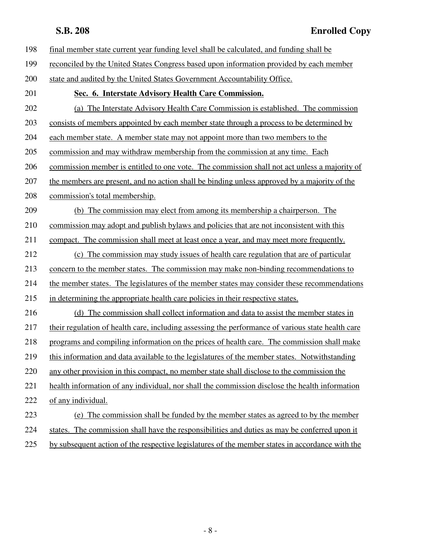| 198 | final member state current year funding level shall be calculated, and funding shall be           |
|-----|---------------------------------------------------------------------------------------------------|
| 199 | reconciled by the United States Congress based upon information provided by each member           |
| 200 | state and audited by the United States Government Accountability Office.                          |
| 201 | Sec. 6. Interstate Advisory Health Care Commission.                                               |
| 202 | (a) The Interstate Advisory Health Care Commission is established. The commission                 |
| 203 | consists of members appointed by each member state through a process to be determined by          |
| 204 | each member state. A member state may not appoint more than two members to the                    |
| 205 | commission and may withdraw membership from the commission at any time. Each                      |
| 206 | commission member is entitled to one vote. The commission shall not act unless a majority of      |
| 207 | the members are present, and no action shall be binding unless approved by a majority of the      |
| 208 | commission's total membership.                                                                    |
| 209 | (b) The commission may elect from among its membership a chairperson. The                         |
| 210 | commission may adopt and publish by laws and policies that are not inconsistent with this         |
| 211 | compact. The commission shall meet at least once a year, and may meet more frequently.            |
| 212 | (c) The commission may study issues of health care regulation that are of particular              |
| 213 | concern to the member states. The commission may make non-binding recommendations to              |
| 214 | the member states. The legislatures of the member states may consider these recommendations       |
| 215 | in determining the appropriate health care policies in their respective states.                   |
| 216 | (d) The commission shall collect information and data to assist the member states in              |
| 217 | their regulation of health care, including assessing the performance of various state health care |
| 218 | programs and compiling information on the prices of health care. The commission shall make        |
| 219 | this information and data available to the legislatures of the member states. Notwithstanding     |
| 220 | any other provision in this compact, no member state shall disclose to the commission the         |
| 221 | health information of any individual, nor shall the commission disclose the health information    |
| 222 | of any individual.                                                                                |
| 223 | (e) The commission shall be funded by the member states as agreed to by the member                |
| 224 | states. The commission shall have the responsibilities and duties as may be conferred upon it     |
| 225 | by subsequent action of the respective legislatures of the member states in accordance with the   |